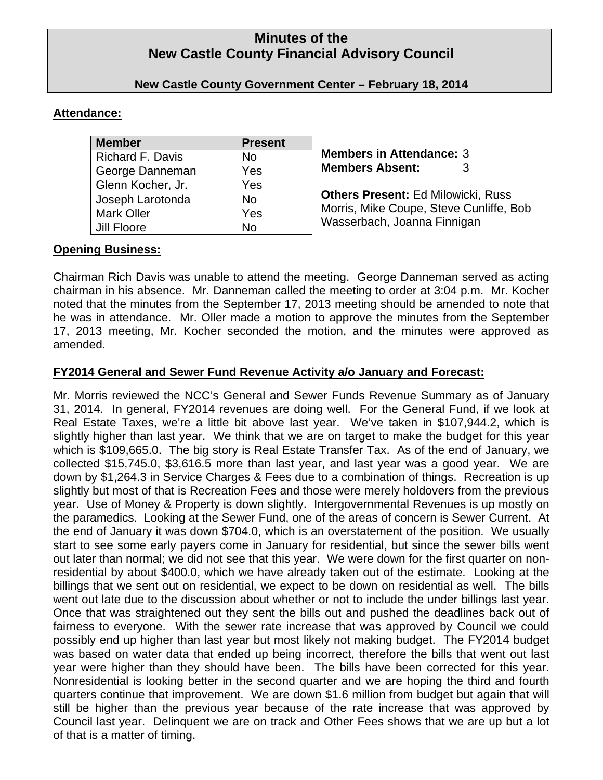# **Minutes of the New Castle County Financial Advisory Council**

### **New Castle County Government Center – February 18, 2014**

# **Attendance:**

| <b>Member</b>           | <b>Present</b> |
|-------------------------|----------------|
| <b>Richard F. Davis</b> | No             |
| George Danneman         | Yes            |
| Glenn Kocher, Jr.       | Yes            |
| Joseph Larotonda        | <b>No</b>      |
| <b>Mark Oller</b>       | Yes            |
| Jill Floore             | No             |

**Members in Attendance:** 3 **Members Absent:** 3

**Others Present:** Ed Milowicki, Russ Morris, Mike Coupe, Steve Cunliffe, Bob Wasserbach, Joanna Finnigan

# **Opening Business:**

Chairman Rich Davis was unable to attend the meeting. George Danneman served as acting chairman in his absence. Mr. Danneman called the meeting to order at 3:04 p.m. Mr. Kocher noted that the minutes from the September 17, 2013 meeting should be amended to note that he was in attendance. Mr. Oller made a motion to approve the minutes from the September 17, 2013 meeting, Mr. Kocher seconded the motion, and the minutes were approved as amended.

# **FY2014 General and Sewer Fund Revenue Activity a/o January and Forecast:**

Mr. Morris reviewed the NCC's General and Sewer Funds Revenue Summary as of January 31, 2014. In general, FY2014 revenues are doing well. For the General Fund, if we look at Real Estate Taxes, we're a little bit above last year. We've taken in \$107,944.2, which is slightly higher than last year. We think that we are on target to make the budget for this year which is \$109,665.0. The big story is Real Estate Transfer Tax. As of the end of January, we collected \$15,745.0, \$3,616.5 more than last year, and last year was a good year. We are down by \$1,264.3 in Service Charges & Fees due to a combination of things. Recreation is up slightly but most of that is Recreation Fees and those were merely holdovers from the previous year. Use of Money & Property is down slightly. Intergovernmental Revenues is up mostly on the paramedics. Looking at the Sewer Fund, one of the areas of concern is Sewer Current. At the end of January it was down \$704.0, which is an overstatement of the position. We usually start to see some early payers come in January for residential, but since the sewer bills went out later than normal; we did not see that this year. We were down for the first quarter on nonresidential by about \$400.0, which we have already taken out of the estimate. Looking at the billings that we sent out on residential, we expect to be down on residential as well. The bills went out late due to the discussion about whether or not to include the under billings last year. Once that was straightened out they sent the bills out and pushed the deadlines back out of fairness to everyone. With the sewer rate increase that was approved by Council we could possibly end up higher than last year but most likely not making budget. The FY2014 budget was based on water data that ended up being incorrect, therefore the bills that went out last year were higher than they should have been. The bills have been corrected for this year. Nonresidential is looking better in the second quarter and we are hoping the third and fourth quarters continue that improvement. We are down \$1.6 million from budget but again that will still be higher than the previous year because of the rate increase that was approved by Council last year. Delinquent we are on track and Other Fees shows that we are up but a lot of that is a matter of timing.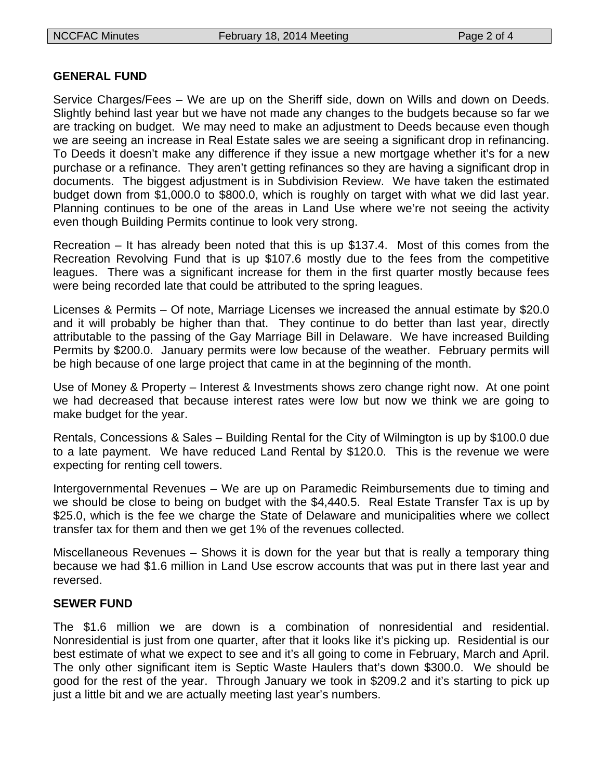#### **GENERAL FUND**

Service Charges/Fees – We are up on the Sheriff side, down on Wills and down on Deeds. Slightly behind last year but we have not made any changes to the budgets because so far we are tracking on budget. We may need to make an adjustment to Deeds because even though we are seeing an increase in Real Estate sales we are seeing a significant drop in refinancing. To Deeds it doesn't make any difference if they issue a new mortgage whether it's for a new purchase or a refinance. They aren't getting refinances so they are having a significant drop in documents. The biggest adjustment is in Subdivision Review. We have taken the estimated budget down from \$1,000.0 to \$800.0, which is roughly on target with what we did last year. Planning continues to be one of the areas in Land Use where we're not seeing the activity even though Building Permits continue to look very strong.

Recreation – It has already been noted that this is up \$137.4. Most of this comes from the Recreation Revolving Fund that is up \$107.6 mostly due to the fees from the competitive leagues. There was a significant increase for them in the first quarter mostly because fees were being recorded late that could be attributed to the spring leagues.

Licenses & Permits – Of note, Marriage Licenses we increased the annual estimate by \$20.0 and it will probably be higher than that. They continue to do better than last year, directly attributable to the passing of the Gay Marriage Bill in Delaware. We have increased Building Permits by \$200.0. January permits were low because of the weather. February permits will be high because of one large project that came in at the beginning of the month.

Use of Money & Property – Interest & Investments shows zero change right now. At one point we had decreased that because interest rates were low but now we think we are going to make budget for the year.

Rentals, Concessions & Sales – Building Rental for the City of Wilmington is up by \$100.0 due to a late payment. We have reduced Land Rental by \$120.0. This is the revenue we were expecting for renting cell towers.

Intergovernmental Revenues – We are up on Paramedic Reimbursements due to timing and we should be close to being on budget with the \$4,440.5. Real Estate Transfer Tax is up by \$25.0, which is the fee we charge the State of Delaware and municipalities where we collect transfer tax for them and then we get 1% of the revenues collected.

Miscellaneous Revenues – Shows it is down for the year but that is really a temporary thing because we had \$1.6 million in Land Use escrow accounts that was put in there last year and reversed.

### **SEWER FUND**

The \$1.6 million we are down is a combination of nonresidential and residential. Nonresidential is just from one quarter, after that it looks like it's picking up. Residential is our best estimate of what we expect to see and it's all going to come in February, March and April. The only other significant item is Septic Waste Haulers that's down \$300.0. We should be good for the rest of the year. Through January we took in \$209.2 and it's starting to pick up just a little bit and we are actually meeting last year's numbers.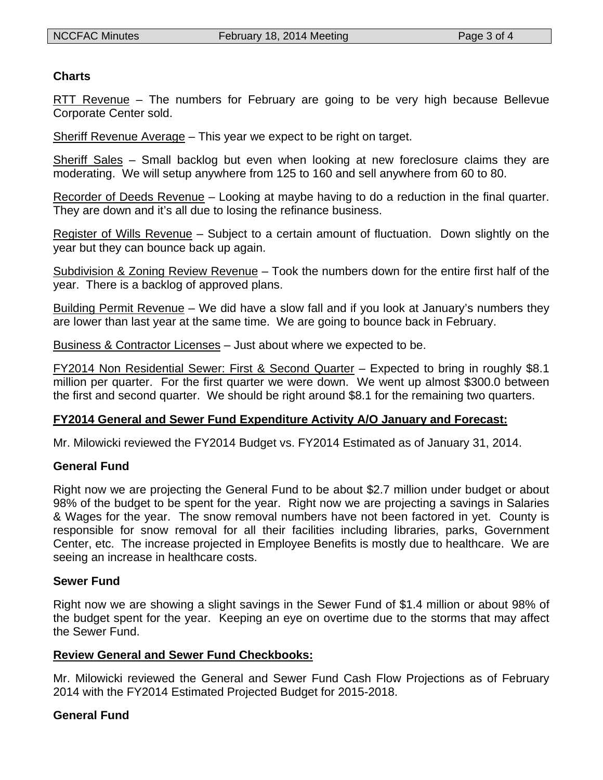### **Charts**

RTT Revenue – The numbers for February are going to be very high because Bellevue Corporate Center sold.

Sheriff Revenue Average – This year we expect to be right on target.

Sheriff Sales – Small backlog but even when looking at new foreclosure claims they are moderating. We will setup anywhere from 125 to 160 and sell anywhere from 60 to 80.

Recorder of Deeds Revenue – Looking at maybe having to do a reduction in the final quarter. They are down and it's all due to losing the refinance business.

Register of Wills Revenue – Subject to a certain amount of fluctuation. Down slightly on the year but they can bounce back up again.

Subdivision & Zoning Review Revenue – Took the numbers down for the entire first half of the year. There is a backlog of approved plans.

Building Permit Revenue – We did have a slow fall and if you look at January's numbers they are lower than last year at the same time. We are going to bounce back in February.

Business & Contractor Licenses – Just about where we expected to be.

FY2014 Non Residential Sewer: First & Second Quarter – Expected to bring in roughly \$8.1 million per quarter. For the first quarter we were down. We went up almost \$300.0 between the first and second quarter. We should be right around \$8.1 for the remaining two quarters.

# **FY2014 General and Sewer Fund Expenditure Activity A/O January and Forecast:**

Mr. Milowicki reviewed the FY2014 Budget vs. FY2014 Estimated as of January 31, 2014.

# **General Fund**

Right now we are projecting the General Fund to be about \$2.7 million under budget or about 98% of the budget to be spent for the year. Right now we are projecting a savings in Salaries & Wages for the year. The snow removal numbers have not been factored in yet. County is responsible for snow removal for all their facilities including libraries, parks, Government Center, etc. The increase projected in Employee Benefits is mostly due to healthcare. We are seeing an increase in healthcare costs.

### **Sewer Fund**

Right now we are showing a slight savings in the Sewer Fund of \$1.4 million or about 98% of the budget spent for the year. Keeping an eye on overtime due to the storms that may affect the Sewer Fund.

### **Review General and Sewer Fund Checkbooks:**

Mr. Milowicki reviewed the General and Sewer Fund Cash Flow Projections as of February 2014 with the FY2014 Estimated Projected Budget for 2015-2018.

# **General Fund**